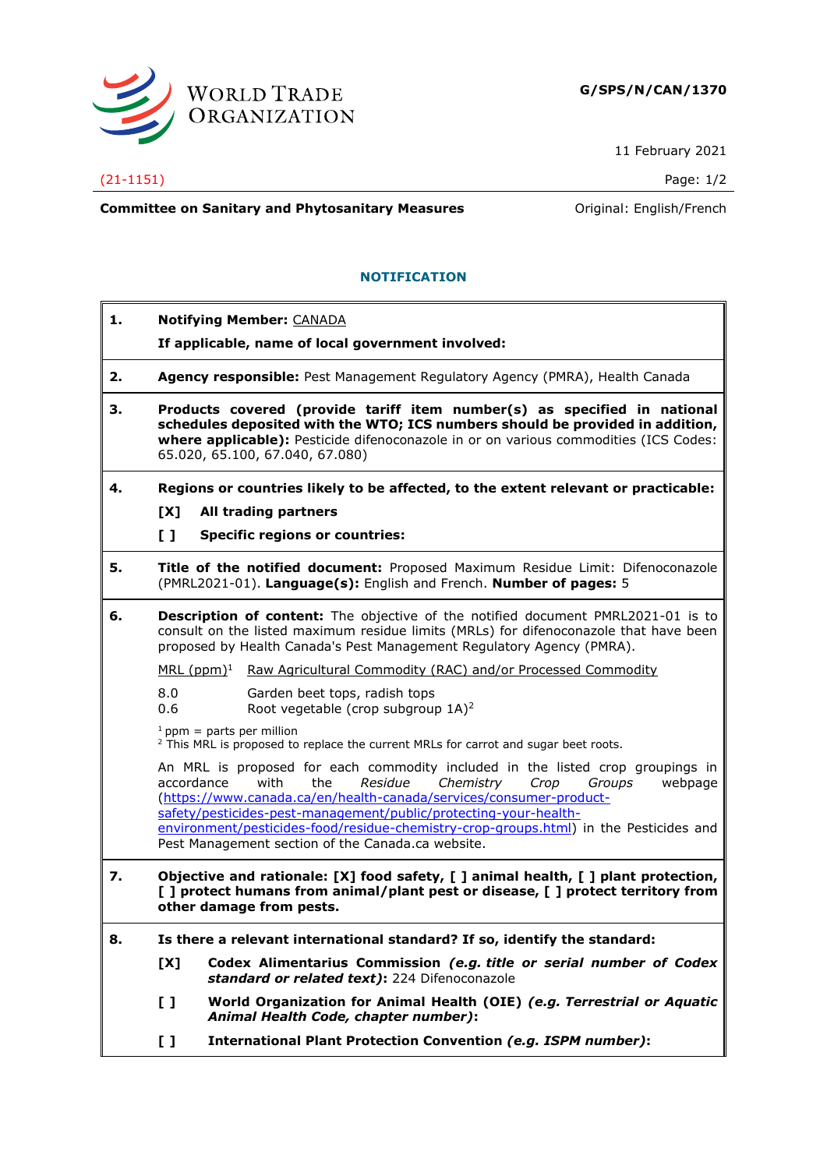

11 February 2021

## (21-1151) Page: 1/2

**Committee on Sanitary and Phytosanitary Measures Committee on Sanitary and Phytosanitary Measures Committee on Sanitary and Phytosanitary Measures** 

## **NOTIFICATION**

| 1.                       | <b>Notifying Member: CANADA</b><br>If applicable, name of local government involved:                                                                                                                                                                                                 |                                                                                                                                                                                                                                                                                                                                                                                                                                            |  |
|--------------------------|--------------------------------------------------------------------------------------------------------------------------------------------------------------------------------------------------------------------------------------------------------------------------------------|--------------------------------------------------------------------------------------------------------------------------------------------------------------------------------------------------------------------------------------------------------------------------------------------------------------------------------------------------------------------------------------------------------------------------------------------|--|
| 2.                       |                                                                                                                                                                                                                                                                                      | Agency responsible: Pest Management Regulatory Agency (PMRA), Health Canada                                                                                                                                                                                                                                                                                                                                                                |  |
| з.                       | Products covered (provide tariff item number(s) as specified in national<br>schedules deposited with the WTO; ICS numbers should be provided in addition,<br>where applicable): Pesticide difenoconazole in or on various commodities (ICS Codes:<br>65.020, 65.100, 67.040, 67.080) |                                                                                                                                                                                                                                                                                                                                                                                                                                            |  |
| 4.                       | Regions or countries likely to be affected, to the extent relevant or practicable:                                                                                                                                                                                                   |                                                                                                                                                                                                                                                                                                                                                                                                                                            |  |
|                          | [X]<br>$\mathbf{L}$                                                                                                                                                                                                                                                                  | All trading partners<br><b>Specific regions or countries:</b>                                                                                                                                                                                                                                                                                                                                                                              |  |
| 5.                       | Title of the notified document: Proposed Maximum Residue Limit: Difenoconazole<br>(PMRL2021-01). Language(s): English and French. Number of pages: 5                                                                                                                                 |                                                                                                                                                                                                                                                                                                                                                                                                                                            |  |
| 6.                       |                                                                                                                                                                                                                                                                                      | <b>Description of content:</b> The objective of the notified document PMRL2021-01 is to<br>consult on the listed maximum residue limits (MRLs) for difenoconazole that have been<br>proposed by Health Canada's Pest Management Regulatory Agency (PMRA).                                                                                                                                                                                  |  |
| $MRL$ (ppm) <sup>1</sup> |                                                                                                                                                                                                                                                                                      | Raw Agricultural Commodity (RAC) and/or Processed Commodity                                                                                                                                                                                                                                                                                                                                                                                |  |
|                          | 8.0<br>0.6                                                                                                                                                                                                                                                                           | Garden beet tops, radish tops<br>Root vegetable (crop subgroup 1A) <sup>2</sup>                                                                                                                                                                                                                                                                                                                                                            |  |
|                          |                                                                                                                                                                                                                                                                                      | $1$ ppm = parts per million<br><sup>2</sup> This MRL is proposed to replace the current MRLs for carrot and sugar beet roots.                                                                                                                                                                                                                                                                                                              |  |
|                          | accordance                                                                                                                                                                                                                                                                           | An MRL is proposed for each commodity included in the listed crop groupings in<br>Chemistry<br>webpage<br>with<br>the<br>Residue<br>Crop<br>Groups<br>(https://www.canada.ca/en/health-canada/services/consumer-product-<br>safety/pesticides-pest-management/public/protecting-your-health-<br>environment/pesticides-food/residue-chemistry-crop-groups.html) in the Pesticides and<br>Pest Management section of the Canada.ca website. |  |
| 7.                       | Objective and rationale: [X] food safety, [] animal health, [] plant protection,<br>[ ] protect humans from animal/plant pest or disease, [ ] protect territory from<br>other damage from pests.                                                                                     |                                                                                                                                                                                                                                                                                                                                                                                                                                            |  |
| 8.                       |                                                                                                                                                                                                                                                                                      | Is there a relevant international standard? If so, identify the standard:                                                                                                                                                                                                                                                                                                                                                                  |  |
|                          | [X]                                                                                                                                                                                                                                                                                  | Codex Alimentarius Commission (e.g. title or serial number of Codex<br>standard or related text): 224 Difenoconazole                                                                                                                                                                                                                                                                                                                       |  |
|                          | $\mathbf{L}$                                                                                                                                                                                                                                                                         | World Organization for Animal Health (OIE) (e.g. Terrestrial or Aquatic<br>Animal Health Code, chapter number):                                                                                                                                                                                                                                                                                                                            |  |
|                          | []                                                                                                                                                                                                                                                                                   | International Plant Protection Convention (e.g. ISPM number):                                                                                                                                                                                                                                                                                                                                                                              |  |